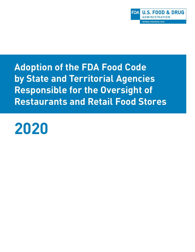

**Adoption of the FDA Food Code by State and Territorial Agencies Responsible for the Oversight of Restaurants and Retail Food Stores**

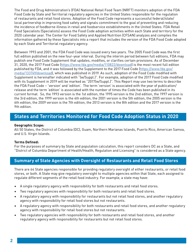The Food and Drug Administration's (FDA) National Retail Food Team (NRFT) monitors adoption of the FDA Food Code by State and Territorial regulatory agencies in the United States responsible for the regulation of restaurants and retail food stores. Adoption of the Food Code represents a successful federal/state/ local partnership in improving food safety and signals commitment to the goal of preventing and reducing the incidence of foodborne illness in retail and foodservice establishments in the United States. FDA Retail Food Specialists (Specialists) assess the Food Code adoption activities within each State and territory for the 2020 calendar year. The Center for Food Safety and Applied Nutrition (CFSAN) analyzes and compiles the information gathered by these Specialists into a report that includes the version of the FDA Food Code adopted by each State and Territorial regulatory agency.

Between 1993 and 2001, the FDA Food Code was issued every two years. The 2005 Food Code was the first full edition published on the new four-year interval. During the interim period between full editions, FDA may publish one Food Code Supplement that updates, modifies, or clarifies certain provisions. As of December 31, 2020, the 2017 Food Code (<https://www.fda.gov/media/110822/download>) is the most recent full edition published by FDA, and it was followed by the Supplement to the 2017 Food Code ([https://www.fda.gov/](https://www.fda.gov/media/133749/download) [media/133749/download](https://www.fda.gov/media/133749/download)), which was published in 2019. As such, adoption of the Food Code modified with Supplement is hereinafter indicated with "(w/Suppl.)". For example, adoption of the 2017 Food Code modified with its Supplement in 2019 will be marked as "2017(w/Suppl.)". This Report may use two terms to describe the FDA Food Code – 'version' and 'edition'. The term 'version' is associated with the year of publication/ release and the term 'edition' is associated with the number of times the Code has been published in its current format. So, the 1993 version is the 1st edition, the 1995 version is the 2nd edition, the 1997 version is the 3rd edition, the 1999 version is the 4th edition, the 2001 version is the 5th edition, the 2005 version is the 6th edition, the 2009 version is the 7th edition, the 2013 version is the 8th edition and the 2017 version is the 9th edition.

# **States and Territories Monitored for Food Code Adoption Status in 2020**

#### **Geographic Scope:**

All 50 States, the District of Columbia (DC), Guam, Northern Marianas Islands, Puerto Rico, American Samoa, and U.S. Virgin Islands.

#### **Terms Defined:**

For the purposes of summary by State and population calculation, this report considers DC as a State, and "District of Columbia Department of Health/Health, Regulation and Licensing" is considered as a State agency.

### **Summary of State Agencies with Oversight of Restaurants and Retail Food Stores**

There are 64 State agencies responsible for providing regulatory oversight of either restaurants, or retail food stores, or both. A State may give regulatory oversight to multiple agencies within that State, each assigned to regulate different segments of the retail food industry. For example, a state may have:

- A single regulatory agency with responsibility for both restaurants and retail food stores.
- Two regulatory agencies with responsibility for both restaurants and retail food stores.
- A regulatory agency with responsibility for restaurants but not retail food stores, and another regulatory agency with responsibility for retail food stores but not restaurants.
- A regulatory agency with responsibility for both restaurants and retail food stores, and another regulatory agency with responsibility for retail food stores but not restaurants.
- Two regulatory agencies with responsibility for both restaurants and retail food stores, and another regulatory agency with responsibility for restaurants but not retail food stores.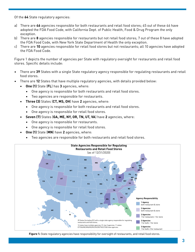Of the **64** State regulatory agencies:

- a) There are **46** agencies responsible for both restaurants and retail food stores; 45 out of these 46 have adopted the FDA Food Code, with California Dept. of Public Health, Food & Drug Program the only exception.
- b) There are **8** agencies responsible for restaurants but not retail food stores; 7 out of these 8 have adopted the FDA Food Code, with New York State Department of Health the only exception.
- c) There are **10** agencies responsible for retail food stores but not restaurants; all 10 agencies have adopted the FDA Food Code.

Figure 1 depicts the number of agencies per State with regulatory oversight for restaurants and retail food stores. Specific details include:

- There are **39** States with a single State regulatory agency responsible for regulating restaurants and retail food stores.
- There are **12** States that have multiple regulatory agencies, with details provided below:
	- **• One (1)** State (**FL**) has **3** agencies, where:
		- One agency is responsible for both restaurants and retail food stores.
		- Two agencies are responsible for restaurants.
	- **• Three (3)** States (**CT, MS, OH**) have **2** agencies, where:
		- One agency is responsible for both restaurants and retail food stores.
		- One agency is responsible for retail food stores.
	- **• Seven (7)** States (**GA, ME, NY, OR, TN, UT, VA**) have **2** agencies, where:
		- One agency is responsible for restaurants.
		- One agency is responsible for retail food stores.
	- **• One (1)** State (**MN**) have **2** agencies, where:
		- Two agencies are responsible for both restaurants and retail food stores.



**Figure 1:** State regulatory agencies have responsibility for oversight of restaurants, and retail food stores.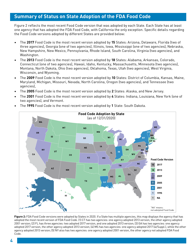## **Summary of Status on State Adoption of the FDA Food Code**

Figure 2 reflects the most recent Food Code version that was adopted by each State. Each State has at least one agency that has adopted the FDA Food Code, with California the only exception. Specific details regarding the Food Code versions adopted by different States are provided below:

- The **2017** Food Code is the most recent version adopted by **15** States: Arizona, Delaware, Florida (two of three agencies), Georgia (one of two agencies), Illinois, Iowa, Mississippi (one of two agencies), Nebraska, New Hampshire, New Mexico, Pennsylvania, Rhode Island, South Carolina, Virginia (two agencies), and Washington.
- The **2013** Food Code is the most recent version adopted by **18** States: Alabama, Arkansas, Colorado, Connecticut (one of two agencies), Hawaii, Idaho, Kentucky, Massachusetts, Minnesota (two agencies), Montana, North Dakota, Ohio (two agencies), Oklahoma, Texas, Utah (two agencies), West Virginia, Wisconsin, and Wyoming.
- The **2009** Food Code is the most recent version adopted by **10** States: District of Columbia, Kansas, Maine, Maryland, Michigan, Missouri, Nevada, North Carolina, Oregon (two agencies), and Tennessee (two agencies),
- The **2005** Food Code is the most recent version adopted by **2** States: Alaska, and New Jersey.
- The **2001** Food Code is the most recent version adopted by **4** States: Indiana, Louisiana, New York (one of two agencies), and Vermont.



• The **1995** Food Code is the most recent version adopted by **1** State: South Dakota.

Figure 2: FDA Food Code versions were adopted by States in 2020. If a State has multiple agencies, this map displays the agency that has adopted the most recent version of FDA Food Code. (1) CT has two agencies: one agency adopted 2013 version, the other agency adopted 2001 version; (2) FL has three agencies: two adopted 2017 version, and one adopted 2013 version; (3) GA has two agencies: one agency adopted 2017 version, the other agency adopted 2013 version; (4) MS has two agencies: one agency adopted 2017 (w/Suppl.), while the other agency adopted 2013 version; (5) NY also has two agencies: one agency adopted 2001 version, the other agency not adopted FDA Food Code.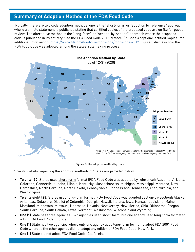### **Summary of Adoption Method of the FDA Food Code**

Typically, there are two code adoption methods: one is the "short-form" or "adoption by reference" approach where a simple statement is published stating that certified copies of the proposed code are on file for public review; The alternative method is the "long-form" or "section-by-section" approach where the proposed code is published in its entirety. See the FDA Food Code 2017 Preface, "7. Code Adoption/Certified Copies" for additional information:<https://www.fda.gov/food/fda-food-code/food-code-2017>. Figure 3 displays how the FDA Food Code was adopted among the states' rulemaking process.



**Figure 3:** The adoption method by State.

Specific details regarding the adoption methods of States are provided below.

- **• Twenty (20)** States used short-form format (FDA Food Code was adopted by reference): Alabama, Arizona, Colorado, Connecticut, Idaho, Illinois, Kentucky, Massachusetts, Michigan, Mississippi, Montana, New Hampshire, North Carolina, North Dakota, Pennsylvania, Rhode Island, Tennessee, Utah, Virginia, and West Virginia.
- **• Twenty eight (28)** States used long-form format (FDA Food Code was adopted section-by-section): Alaska, Arkansas, Delaware, District of Columbia, Georgia, Hawaii, Indiana, Iowa, Kansas, Louisiana, Maine, Maryland, Minnesota, Missouri, Nebraska, Nevada, New Jersey, New Mexico, Ohio, Oklahoma, Oregon, South Carolina, South Dakota, Texas, Vermont, Washington, Wisconsin and Wyoming.
- **• One (1)** State has three agencies. Two agencies used short-form, but one agency used long-form format to adopt FDA Food Code: Florida.
- **• One (1)** State has two agencies where only one agency used long-form format to adopt FDA 2001 Food Code whereas the other agency did not adopt any edition of FDA Food Code: New York.
- **• One (1)** State did not adopt FDA Food Code: California.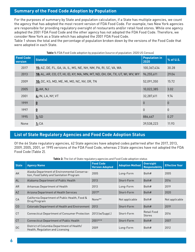### **Summary of the Food Code Adoption by Population**

For the purposes of summary by State and population calculation, if a State has multiple agencies, we count the agency that has adopted the most recent version of FDA Food Code. For example, two New York agencies are responsible for providing regulatory oversight of restaurants and/or retail food stores. While one agency adopted the 2001 FDA Food Code and the other agency has not adopted the FDA Food Code. Therefore, we consider New York as a State which has adopted the 2001 FDA Food Code.

Table 1 shows the total and the percentage of population broken down by the versions of the Food Code that were adopted in each State.

| <b>Food Code</b><br>version | State(s)                                                                   | <b>Population in</b><br>2020 | % of U.S.        |
|-----------------------------|----------------------------------------------------------------------------|------------------------------|------------------|
| 2017                        | 15: AZ, DE, FL, GA, IA, IL, MS, NE, NH, NM, PA, RI, SC, VA, WA             | 100,367,434                  | 30.28            |
| 2013                        | 18: AL, AR, CO, CT, HI, ID, KY, MA, MN, MT, ND, OH, OK, TX, UT, WI, WV, WY | 96,255,611                   | 29.04            |
| 2009                        | <b>10:</b> DC, KS, MD, ME, MI, MO, NC, NV, OR, TN                          | 52,091,350                   | 15.72            |
| 2005                        | 2: AK, NJ                                                                  | 10,022,385                   | 3.02             |
| 2001                        | 4: IN, LA, NY, VT                                                          | 32,287,611                   | 9.74             |
| 1999                        | $\underline{\mathbf{0}}$                                                   | $\mathbf 0$                  | $\boldsymbol{0}$ |
| 1997                        | $\underline{\mathbf{0}}$                                                   | $\theta$                     | $\mathbf{0}$     |
| 1995                        | 1:SD                                                                       | 886,667                      | 0.27             |
| None                        | 1:CA                                                                       | 39,538,223                   | 11.93            |

### **Table 1:** FDA Food Code adoption by population (source of population: 2020 US Census)

#### **List of State Regulatory Agencies and Food Code Adoption Status**

Of the 64 State regulatory agencies, 62 State agencies have adopted codes patterned after the 2017, 2013, 2009, 2005, 2001, or 1995 versions of the FDA Food Code, whereas 2 State agencies have not adopted the FDA Food Code (Table 2).

**Table 2:** The list of State regulatory agencies and Food Code adoption status

| <b>State</b> | <b>Agency Name</b>                                                                       | <b>Food Code</b><br><b>Version Adopted</b> | <b>Adoption Method</b> | <b>Oversight</b><br><b>Responsibility</b> | <b>Effective Year</b> |
|--------------|------------------------------------------------------------------------------------------|--------------------------------------------|------------------------|-------------------------------------------|-----------------------|
| AK           | Alaska Department of Environmental Conserva-<br>tion, Food Safety and Sanitation Program | 2005                                       | Long-Form              | Both#                                     | 2005                  |
| AL           | Alabama Department of Public Health                                                      | 2013                                       | Short-Form             | Both#                                     | 2016                  |
| <b>AR</b>    | Arkansas Department of Health                                                            | 2013                                       | Long-Form              | Both#                                     | 2019                  |
| <b>AZ</b>    | Arizona Department of Health Services                                                    | 2017*                                      | Short-Form             | Both#                                     | 2020                  |
| CA           | California Department of Public Health, Food &<br>Drug Program                           | None**                                     | Not applicable         | Both#                                     | Not applicable        |
| CO           | Colorado Department of Health and Environment                                            | 2013                                       | Short-Form             | Both#                                     | 2019                  |
| <b>CT</b>    | Connecticut Department of Consumer Protection                                            | 2013 (w/Suppl.)                            | Short-Form             | <b>Retail Food</b><br><b>Stores</b>       | 2016                  |
| <b>CT</b>    | <b>Connecticut Department of Public Health</b>                                           | 2001 ***                                   | Short-Form             | Both#                                     | 2007                  |
| DC           | District of Columbia Department of Health/<br>Health, Regulation and Licensing           | 2009                                       | Long-Form              | Both#                                     | 2012                  |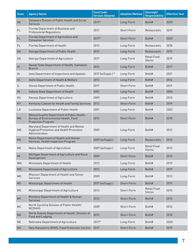| <b>State</b>   | <b>Agency Name</b>                                                                                              | <b>Food Code</b><br><b>Version Adopted</b> | <b>Adoption Method</b> | <b>Oversight</b><br><b>Responsibility</b> | <b>Effective Year</b> |
|----------------|-----------------------------------------------------------------------------------------------------------------|--------------------------------------------|------------------------|-------------------------------------------|-----------------------|
| DE             | Delaware Division of Public Health and Social<br><b>Services</b>                                                | 2017*                                      | Long-Form              | Both#                                     | 2020                  |
| FL             | Florida Department of Business and<br><b>Professional Regulations</b>                                           | 2017                                       | Short-Form             | <b>Restaurants</b>                        | 2019                  |
| FL.            | Florida Department of Agriculture and<br><b>Consumer Services</b>                                               | 2017*                                      | Short-Form             | Both#                                     | 2020                  |
| FL.            | Florida Department of Health                                                                                    | 2013                                       | Long-Form              | <b>Restaurants</b>                        | 2018                  |
| GA             | Georgia Department of Public Health                                                                             | 2013                                       | Long-Form              | Restaurants                               | 2015                  |
| GA             | Georgia Department of Agriculture                                                                               | 2017                                       | Long-Form              | <b>Retail Food</b><br><b>Stores</b>       | 2019                  |
| HI             | Hawaii State Department of Health, Sanitation<br><b>Branch</b>                                                  | 2013                                       | Long-Form              | Both#                                     | 2017                  |
| ΙA             | Iowa Department of Inspections and Appeals                                                                      | 2017 (w/Suppl.) *                          | Long-Form              | Both#                                     | 2021                  |
| ID             | Idaho Department of Health & Welfare                                                                            | 2013                                       | Long-Form              | Both#                                     | 2016                  |
| IL             | Illinois Department of Public Health                                                                            | 2017                                       | Short-Form             | Both#                                     | 2019                  |
| IN             | Indiana State Department of Health                                                                              | 2001                                       | Long-Form              | Both#                                     | 2004                  |
| KS             | Kansas Department of Agriculture                                                                                | 2009                                       | Long-Form              | Both#                                     | 2013                  |
| KY             | Kentucky Cabinet for Health and Family Services                                                                 | 2013                                       | Short-Form             | Both#                                     | 2019                  |
| LA             | Louisiana Department of Public Health                                                                           | 2001                                       | Long-Form              | Both#                                     | 2002                  |
| MA             | Massachusetts Department of Public Health,<br>Bureau of Environmental Health, Food<br><b>Protection Program</b> | 2013                                       | Short-Form             | Both#                                     | 2018                  |
| <b>MD</b>      | Maryland Department of Health and Mental<br>Hygiene/Prevention and Health Promotion<br>Administration           | 2009                                       | Long-Form              | Both#                                     | 2012                  |
| <b>ME</b>      | Maine Department of Health and Human<br>Services, Health Inspection Program                                     | 2009 (w/Suppl.)                            | Long-Form              | Restaurants                               | 2013                  |
| ME             | Maine Department of Agriculture                                                                                 | 2009 (w/Suppl.)                            | Long-Form              | Retail Food<br><b>Stores</b>              | 2013                  |
| MI             | Michigan Department of Agriculture and Rural<br>Development                                                     | 2009                                       | Short-Form             | Both#                                     | 2013                  |
| MN             | Minnesota Department of Health                                                                                  | 2013                                       | Long-Form              | Both#                                     | 2019                  |
| MN             | Minnesota Department of Agriculture                                                                             | 2013                                       | Long-Form              | Both#                                     | 2019                  |
| M <sub>O</sub> | Missouri Department of Health and Senior<br><b>Services</b>                                                     | 2009                                       | Long-Form              | Both#                                     | 2013                  |
| <b>MS</b>      | Mississippi Department of Health                                                                                | 2017 (w/Suppl.)                            | Short-Form             | Both#                                     | 2019                  |
| <b>MS</b>      | Mississippi Department of Agriculture                                                                           | 2013                                       | Short-Form             | <b>Retail Food</b><br><b>Stores</b>       | 2015                  |
| MT             | Montana Department of Health & Human<br>Services                                                                | 2013                                       | Short-Form             | Both#                                     | 2015                  |
| NC             | North Carolina Division of Public Health/<br><b>NCDHHS</b>                                                      | 2009                                       | Short-Form             | Both#                                     | 2012                  |
| ND             | North Dakota Department of Health, Division of<br>Food and Lodging                                              | 2013                                       | Short-Form             | Both#                                     | 2018                  |
| <b>NE</b>      | Nebraska Department of Agriculture                                                                              | 2017*                                      | Long-Form              | Both#                                     | 2020                  |
| <b>NH</b>      | New Hampshire DHHS, Food Protection Section                                                                     | 2017                                       | Short-Form             | Both#                                     | 2019                  |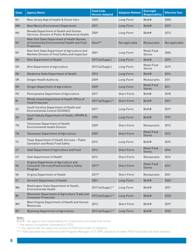| <b>State</b>   | <b>Agency Name</b>                                                                                     | <b>Food Code</b><br><b>Version Adopted</b> | <b>Adoption Method</b> | <b>Oversight</b><br><b>Responsibility</b> | <b>Effective Year</b> |
|----------------|--------------------------------------------------------------------------------------------------------|--------------------------------------------|------------------------|-------------------------------------------|-----------------------|
| NJ             | New Jersey dept of health & Senior Serv                                                                | 2005                                       | Long-Form              | Both#                                     | 2005                  |
| <b>NM</b>      | New Mexico Environment Department                                                                      | 2017                                       | Long-Form              | Both#                                     | 2019                  |
| <b>NV</b>      | Nevada Department of Health and Human<br>Services, Division of Public & Behavioral Health              | 2009                                       | Long-Form              | Both#                                     | 2013                  |
| <b>NY</b>      | New York State Department of Health Bureau<br>of Community Environmental Health and Food<br>Protection | None**                                     | Not applicable         | Restaurants                               | Not applicable        |
| <b>NY</b>      | New York State Department of Agriculture and<br>Markets Division of Food Safety and Inspection         | 2001                                       | Long-Form              | <b>Retail Food</b><br><b>Stores</b>       | 2004                  |
| <b>OH</b>      | Ohio Department of Health                                                                              | 2013 (w/Suppl.)                            | Long-Form              | Both#                                     | 2019                  |
| 0H             | Ohio Department of Agriculture                                                                         | 2013 (w/Suppl.)                            | Long-Form              | <b>Retail Food</b><br><b>Stores</b>       | 2019                  |
| <b>OK</b>      | Oklahoma State Department of Health                                                                    | 2013                                       | Long-Form              | Both#                                     | 2016                  |
| 0R             | Oregon Health Authority                                                                                | 2009                                       | Long-Form              | Restaurants                               | 2011                  |
| 0 <sub>R</sub> | Oregon Department of Agriculture                                                                       | 2009                                       | Long-Form              | <b>Retail Food</b><br><b>Stores</b>       | 2011                  |
| PA             | Pennsylvania Department of Agriculture                                                                 | 2017                                       | Short-Form             | Both#                                     | 2018                  |
| R <sub>l</sub> | Rhode Island Department of Health Office of<br><b>Food Protection</b>                                  | 2017 (w/Suppl.) *                          | Short-Form             | Both#                                     | 2021                  |
| <b>SC</b>      | South Carolina Department of Health and<br>Environmental Control (SCDHEC)                              | 2017                                       | Long-Form              | Both#                                     | 2019                  |
| SD             | South Dakota Department of Health, OPHPR &<br>OHP                                                      | 1995                                       | Long-Form              | Both#                                     | 1997                  |
| <b>TN</b>      | Tennessee Department of Health<br><b>Environmental Health Division</b>                                 | 2009                                       | Short-Form             | Restaurants                               | 2013                  |
| <b>TN</b>      | Tennessee Department of Agriculture                                                                    | 2009                                       | Short-Form             | <b>Retail Food</b><br><b>Stores</b>       | 2013                  |
| <b>TX</b>      | Texas Department of Health Services - Public<br>Sanitation and Retail Food Safety                      | 2013                                       | Long-Form              | Both#                                     | 2015                  |
| UT             | Utah Department of Agriculture and Food                                                                | 2013                                       | Short-Form             | <b>Retail Food</b><br><b>Stores</b>       | 2016                  |
| UT             | Utah Department of Health                                                                              | 2013                                       | Short-Form             | Restaurants                               | 2016                  |
| <b>VA</b>      | Virginia Department of Agriculture and<br><b>Consumer Services/Food and Dairy Safety</b><br>Program    | 2017*                                      | Short-Form             | <b>Retail Food</b><br><b>Stores</b>       | 2021                  |
| VA             | Virginia Department of Health                                                                          | 2017*                                      | Short-Form             | Restaurants                               | 2021                  |
| VT             | Vermont Department of Health                                                                           | 2001                                       | Long-Form              | Both#                                     | 2003                  |
| <b>WA</b>      | Washington State Department of Health,<br><b>Environmental Health</b>                                  | 2017 (w/Suppl.) *                          | Long-Form              | Both#                                     | 2021                  |
| WI             | Wisconsin Department of Agriculture Trade and<br><b>Consumer Protection</b>                            | 2013 (w/Suppl.) *                          | Long-Form              | Both#                                     | 2020                  |
| WV             | West Virginia Department of Health and Human<br>Resources                                              | 2013                                       | Short-Form             | Both#                                     | 2019                  |
| WY             | <b>Wyoming Department of Agriculture</b>                                                               | 2013 (w/Suppl.) *                          | Long-Form              | Both#                                     | 2020                  |

Note:

Both#: the agency has responsibility for restaurants and retail food stores.

\*: the agency completed rulemaking in 2020.

\*\*: the agency did not adopt any version of FDA Food Code, no adoption.

\*\*\*: FDA specialist has confirmed with Program Manager of CT DPH, adoption of newer FDA Food Code has been delayed.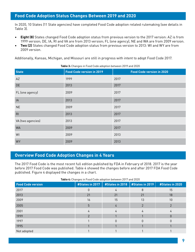### **Food Code Adoption Status Changes Between 2019 and 2020**

In 2020, 10 States (11 State agencies) have completed Food Code adoption related rulemaking (see details in Table 3).

- **• Eight (8)** States changed Food Code adoption status from previous version to the 2017 version: AZ is from 1999 version; DE, IA, RI and VA are from 2013 version; FL (one agency), NE and WA are from 2009 version.
- **• Two (2)** States changed Food Code adoption status from previous version to 2013: WI and WY are from 2009 version.

Additionally, Kansas, Michigan, and Missouri are still in progress with intent to adopt Food Code 2017.

| <b>State</b>      | <b>Food Code version in 2019</b> | <b>Food Code version in 2020</b> |
|-------------------|----------------------------------|----------------------------------|
| AZ                | 1999                             | 2017                             |
| DE                | 2013                             | 2017                             |
| FL (one agency)   | 2009                             | 2017                             |
| IA                | 2013                             | 2017                             |
| <b>NE</b>         | 2009                             | 2017                             |
| R <sub>l</sub>    | 2013                             | 2017                             |
| VA (two agencies) | 2013                             | 2017                             |
| <b>WA</b>         | 2009                             | 2017                             |
| WI                | 2009                             | 2013                             |
| <b>WY</b>         | 2009                             | 2013                             |

**Table 3:** Changes in Food Code adoption between 2019 and 2020

#### **Overview Food Code Adoption Changes in 4 Years**

The 2017 Food Code is the most recent full edition published by FDA in February of 2018. 2017 is the year before 2017 Food Code was published. Table 4 showed the changes before and after 2017 FDA Food Code published. Figure 4 displayed the changes in a chart.

| Table 4: Changes in Food Code adoption between 2017 and 2020 |  |
|--------------------------------------------------------------|--|
|                                                              |  |

| <b>Food Code version</b> | #States in 2017 | #States in 2018 | #States in 2019 | #States in 2020 |
|--------------------------|-----------------|-----------------|-----------------|-----------------|
| 2017                     |                 |                 | 8               | 15              |
| 2013                     | 21              | 21              | 21              | 18              |
| 2009                     | 16              | 15              | 13              | 10              |
| 2005                     | 5               |                 |                 |                 |
| 2001                     |                 |                 |                 |                 |
| 1999                     |                 |                 |                 |                 |
| 1997                     |                 |                 |                 |                 |
| 1995                     |                 |                 |                 |                 |
| Not adopted              |                 |                 |                 |                 |